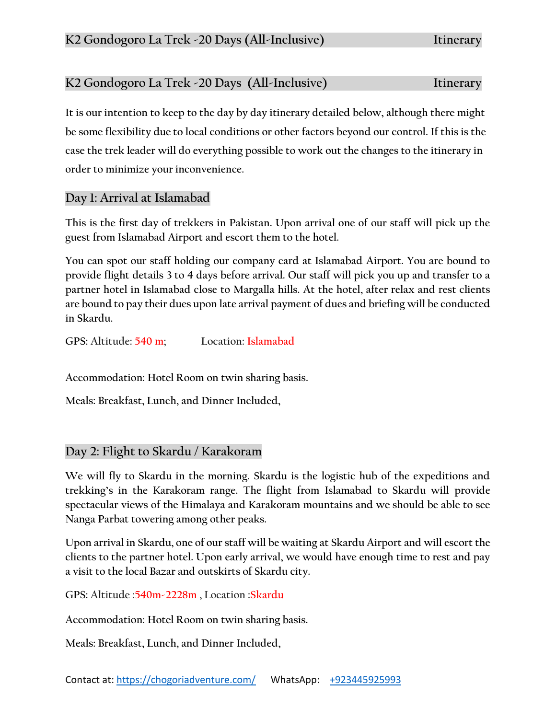# **K2 Gondogoro La Trek -20 Days (All-Inclusive) Itinerary**

**It is our intention to keep to the day by day itinerary detailed below, although there might be some flexibility due to local conditions or other factors beyond our control. If this is the case the trek leader will do everything possible to work out the changes to the itinerary in order to minimize your inconvenience.**

## **Day 1: Arrival at Islamabad**

**This is the first day of trekkers in Pakistan. Upon arrival one of our staff will pick up the guest from Islamabad Airport and escort them to the hotel.**

**You can spot our staff holding our company card at Islamabad Airport. You are bound to provide flight details 3 to 4 days before arrival. Our staff will pick you up and transfer to a partner hotel in Islamabad close to Margalla hills. At the hotel, after relax and rest clients are bound to pay their dues upon late arrival payment of dues and briefing will be conducted in Skardu.**

**GPS: Altitude: 540 m; Location: Islamabad**

**Accommodation: Hotel Room on twin sharing basis.**

**Meals: Breakfast, Lunch, and Dinner Included,**

## **Day 2: Flight to Skardu / Karakoram**

**We will fly to Skardu in the morning. Skardu is the logistic hub of the expeditions and trekking's in the Karakoram range. The flight from Islamabad to Skardu will provide spectacular views of the Himalaya and Karakoram mountains and we should be able to see Nanga Parbat towering among other peaks.**

**Upon arrival in Skardu, one of our staff will be waiting at Skardu Airport and will escort the clients to the partner hotel. Upon early arrival, we would have enough time to rest and pay a visit to the local Bazar and outskirts of Skardu city.**

**GPS: Altitude :540m-2228m , Location :Skardu**

**Accommodation: Hotel Room on twin sharing basis.**

**Meals: Breakfast, Lunch, and Dinner Included,**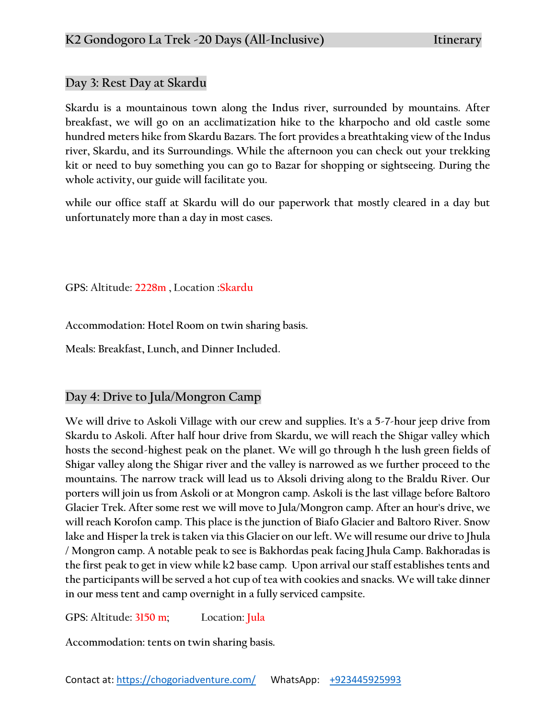## **Day 3: Rest Day at Skardu**

**Skardu is a mountainous town along the Indus river, surrounded by mountains. After breakfast, we will go on an acclimatization hike to the kharpocho and old castle some hundred meters hike from Skardu Bazars. The fort provides a breathtaking view of the Indus river, Skardu, and its Surroundings. While the afternoon you can check out your trekking kit or need to buy something you can go to Bazar for shopping or sightseeing. During the whole activity, our guide will facilitate you.**

**while our office staff at Skardu will do our paperwork that mostly cleared in a day but unfortunately more than a day in most cases.** 

**GPS: Altitude: 2228m , Location :Skardu**

**Accommodation: Hotel Room on twin sharing basis.**

**Meals: Breakfast, Lunch, and Dinner Included.**

# **Day 4: Drive to Jula/Mongron Camp**

**We will drive to Askoli Village with our crew and supplies. It's a 5-7-hour jeep drive from Skardu to Askoli. After half hour drive from Skardu, we will reach the Shigar valley which hosts the second-highest peak on the planet. We will go through h the lush green fields of Shigar valley along the Shigar river and the valley is narrowed as we further proceed to the mountains. The narrow track will lead us to Aksoli driving along to the Braldu River. Our porters will join us from Askoli or at Mongron camp. Askoli is the last village before Baltoro Glacier Trek. After some rest we will move to Jula/Mongron camp. After an hour's drive, we will reach Korofon camp. This place is the junction of Biafo Glacier and Baltoro River. Snow lake and Hisper la trek is taken via this Glacier on our left. We will resume our drive to Jhula / Mongron camp. A notable peak to see is Bakhordas peak facing Jhula Camp. Bakhoradas is the first peak to get in view while k2 base camp. Upon arrival our staff establishes tents and the participants will be served a hot cup of tea with cookies and snacks. We will take dinner in our mess tent and camp overnight in a fully serviced campsite.** 

**GPS: Altitude: 3150 m; Location: Jula**

**Accommodation: tents on twin sharing basis.**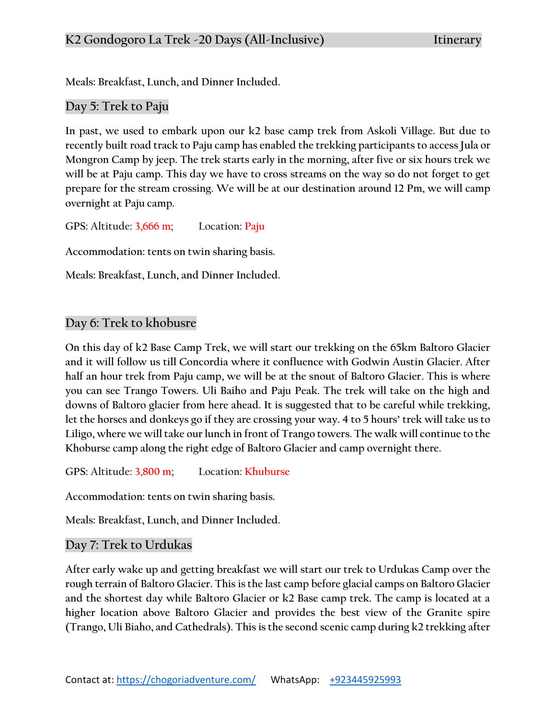**Meals: Breakfast, Lunch, and Dinner Included.**

## **Day 5: Trek to Paju**

**In past, we used to embark upon our k2 base camp trek from Askoli Village. But due to recently built road track to Paju camp has enabled the trekking participants to access Jula or Mongron Camp by jeep. The trek starts early in the morning, after five or six hours trek we will be at Paju camp. This day we have to cross streams on the way so do not forget to get prepare for the stream crossing. We will be at our destination around 12 Pm, we will camp overnight at Paju camp.**

**GPS: Altitude: 3,666 m; Location: Paju**

**Accommodation: tents on twin sharing basis.**

**Meals: Breakfast, Lunch, and Dinner Included.**

#### **Day 6: Trek to khobusre**

**On this day of k2 Base Camp Trek, we will start our trekking on the 65km Baltoro Glacier and it will follow us till Concordia where it confluence with Godwin Austin Glacier. After half an hour trek from Paju camp, we will be at the snout of Baltoro Glacier. This is where you can see Trango Towers. Uli Baiho and Paju Peak. The trek will take on the high and downs of Baltoro glacier from here ahead. It is suggested that to be careful while trekking, let the horses and donkeys go if they are crossing your way. 4 to 5 hours' trek will take us to Liligo, where we will take our lunch in front of Trango towers. The walk will continue to the Khoburse camp along the right edge of Baltoro Glacier and camp overnight there.**

**GPS: Altitude: 3,800 m; Location: Khuburse**

**Accommodation: tents on twin sharing basis.**

**Meals: Breakfast, Lunch, and Dinner Included.**

## **Day 7: Trek to Urdukas**

**After early wake up and getting breakfast we will start our trek to Urdukas Camp over the rough terrain of Baltoro Glacier. This is the last camp before glacial camps on Baltoro Glacier and the shortest day while Baltoro Glacier or k2 Base camp trek. The camp is located at a higher location above Baltoro Glacier and provides the best view of the Granite spire (Trango, Uli Biaho, and Cathedrals). This is the second scenic camp during k2 trekking after**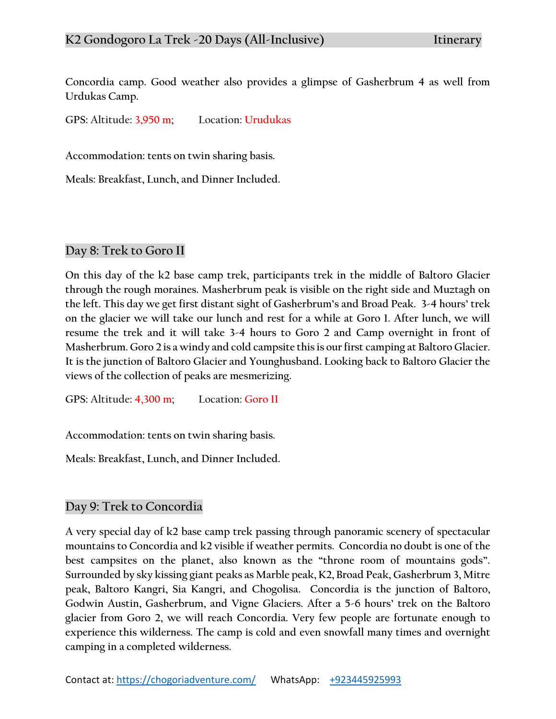**Concordia camp. Good weather also provides a glimpse of Gasherbrum 4 as well from Urdukas Camp.**

**GPS: Altitude: 3,950 m; Location: Urudukas**

**Accommodation: tents on twin sharing basis.**

**Meals: Breakfast, Lunch, and Dinner Included.**

## **Day 8: Trek to Goro II**

**On this day of the k2 base camp trek, participants trek in the middle of Baltoro Glacier through the rough moraines. Masherbrum peak is visible on the right side and Muztagh on the left. This day we get first distant sight of Gasherbrum's and Broad Peak. 3-4 hours' trek on the glacier we will take our lunch and rest for a while at Goro 1. After lunch, we will resume the trek and it will take 3-4 hours to Goro 2 and Camp overnight in front of Masherbrum. Goro 2 is a windy and cold campsite this is our first camping at Baltoro Glacier. It is the junction of Baltoro Glacier and Younghusband. Looking back to Baltoro Glacier the views of the collection of peaks are mesmerizing.**

**GPS: Altitude: 4,300 m; Location: Goro II**

**Accommodation: tents on twin sharing basis.**

**Meals: Breakfast, Lunch, and Dinner Included.**

#### **Day 9: Trek to Concordia**

**A very special day of k2 base camp trek passing through panoramic scenery of spectacular mountains to Concordia and k2 visible if weather permits. Concordia no doubt is one of the best campsites on the planet, also known as the "throne room of mountains gods". Surrounded by sky kissing giant peaks as Marble peak, K2, Broad Peak, Gasherbrum 3, Mitre peak, Baltoro Kangri, Sia Kangri, and Chogolisa. Concordia is the junction of Baltoro, Godwin Austin, Gasherbrum, and Vigne Glaciers. After a 5-6 hours' trek on the Baltoro glacier from Goro 2, we will reach Concordia. Very few people are fortunate enough to experience this wilderness. The camp is cold and even snowfall many times and overnight camping in a completed wilderness.**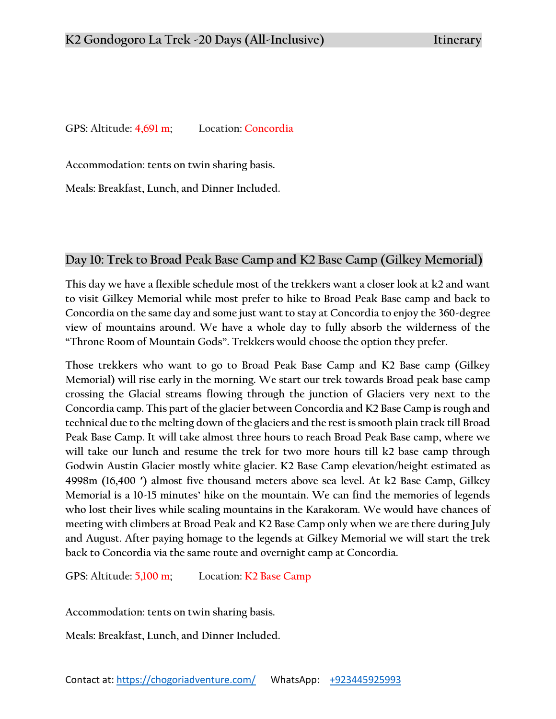**GPS: Altitude: 4,691 m; Location: Concordia**

**Accommodation: tents on twin sharing basis.**

**Meals: Breakfast, Lunch, and Dinner Included.**

#### **Day 10: Trek to Broad Peak Base Camp and K2 Base Camp (Gilkey Memorial)**

**This day we have a flexible schedule most of the trekkers want a closer look at k2 and want to visit Gilkey Memorial while most prefer to hike to Broad Peak Base camp and back to Concordia on the same day and some just want to stay at Concordia to enjoy the 360-degree view of mountains around. We have a whole day to fully absorb the wilderness of the "Throne Room of Mountain Gods". Trekkers would choose the option they prefer.**

**Those trekkers who want to go to Broad Peak Base Camp and K2 Base camp (Gilkey Memorial) will rise early in the morning. We start our trek towards Broad peak base camp crossing the Glacial streams flowing through the junction of Glaciers very next to the Concordia camp. This part of the glacier between Concordia and K2 Base Camp is rough and technical due to the melting down of the glaciers and the rest is smooth plain track till Broad Peak Base Camp. It will take almost three hours to reach Broad Peak Base camp, where we will take our lunch and resume the trek for two more hours till k2 base camp through Godwin Austin Glacier mostly white glacier. K2 Base Camp elevation/height estimated as 4998m (16,400 ′) almost five thousand meters above sea level. At k2 Base Camp, Gilkey Memorial is a 10-15 minutes' hike on the mountain. We can find the memories of legends who lost their lives while scaling mountains in the Karakoram. We would have chances of meeting with climbers at Broad Peak and K2 Base Camp only when we are there during July and August. After paying homage to the legends at Gilkey Memorial we will start the trek back to Concordia via the same route and overnight camp at Concordia.**

**GPS: Altitude: 5,100 m; Location: K2 Base Camp**

**Accommodation: tents on twin sharing basis.**

**Meals: Breakfast, Lunch, and Dinner Included.**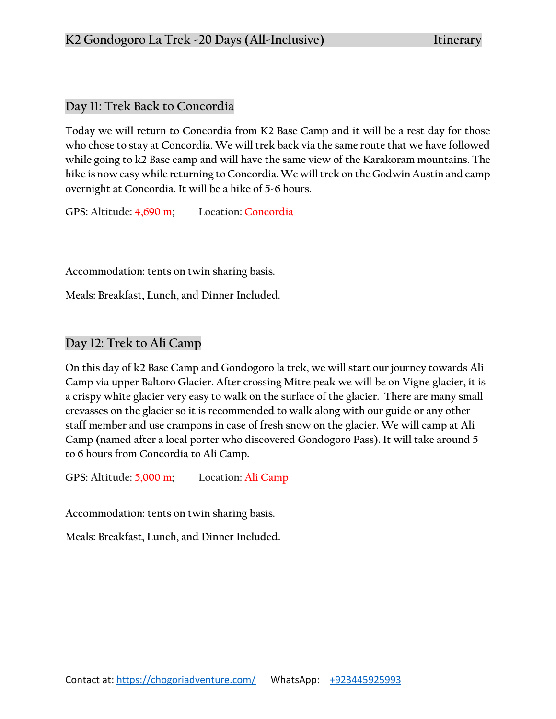# **Day 11: Trek Back to Concordia**

**Today we will return to Concordia from K2 Base Camp and it will be a rest day for those who chose to stay at Concordia. We will trek back via the same route that we have followed while going to k2 Base camp and will have the same view of the Karakoram mountains. The hike is now easy while returning to Concordia. We will trek on the Godwin Austin and camp overnight at Concordia. It will be a hike of 5-6 hours.** 

**GPS: Altitude: 4,690 m; Location: Concordia**

**Accommodation: tents on twin sharing basis.**

**Meals: Breakfast, Lunch, and Dinner Included.**

# **Day 12: Trek to Ali Camp**

**On this day of k2 Base Camp and Gondogoro la trek, we will start our journey towards Ali Camp via upper Baltoro Glacier. After crossing Mitre peak we will be on Vigne glacier, it is a crispy white glacier very easy to walk on the surface of the glacier. There are many small crevasses on the glacier so it is recommended to walk along with our guide or any other staff member and use crampons in case of fresh snow on the glacier. We will camp at Ali Camp (named after a local porter who discovered Gondogoro Pass). It will take around 5 to 6 hours from Concordia to Ali Camp.**

**GPS: Altitude: 5,000 m; Location: Ali Camp**

**Accommodation: tents on twin sharing basis.**

**Meals: Breakfast, Lunch, and Dinner Included.**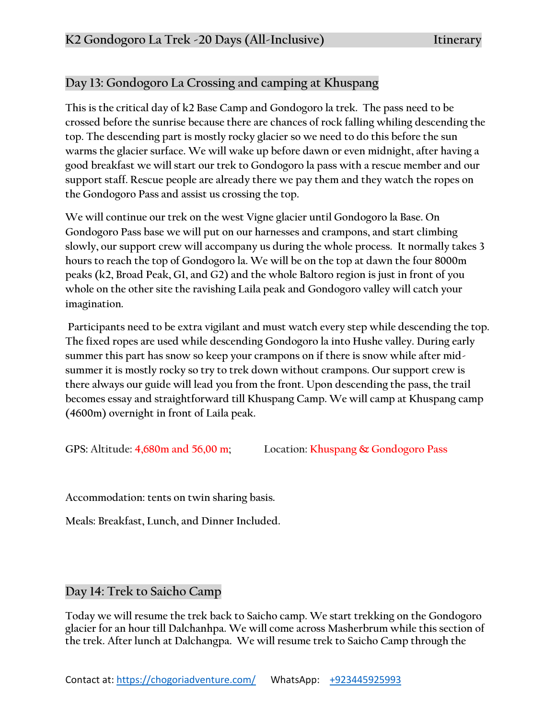# **Day 13: Gondogoro La Crossing and camping at Khuspang**

**This is the critical day of k2 Base Camp and Gondogoro la trek. The pass need to be crossed before the sunrise because there are chances of rock falling whiling descending the top. The descending part is mostly rocky glacier so we need to do this before the sun warms the glacier surface. We will wake up before dawn or even midnight, after having a good breakfast we will start our trek to Gondogoro la pass with a rescue member and our support staff. Rescue people are already there we pay them and they watch the ropes on the Gondogoro Pass and assist us crossing the top.** 

**We will continue our trek on the west Vigne glacier until Gondogoro la Base. On Gondogoro Pass base we will put on our harnesses and crampons, and start climbing slowly, our support crew will accompany us during the whole process. It normally takes 3 hours to reach the top of Gondogoro la. We will be on the top at dawn the four 8000m peaks (k2, Broad Peak, G1, and G2) and the whole Baltoro region is just in front of you whole on the other site the ravishing Laila peak and Gondogoro valley will catch your imagination.**

**Participants need to be extra vigilant and must watch every step while descending the top. The fixed ropes are used while descending Gondogoro la into Hushe valley. During early summer this part has snow so keep your crampons on if there is snow while after midsummer it is mostly rocky so try to trek down without crampons. Our support crew is there always our guide will lead you from the front. Upon descending the pass, the trail becomes essay and straightforward till Khuspang Camp. We will camp at Khuspang camp (4600m) overnight in front of Laila peak.**

**GPS: Altitude: 4,680m and 56,00 m; Location: Khuspang & Gondogoro Pass**

**Accommodation: tents on twin sharing basis.**

**Meals: Breakfast, Lunch, and Dinner Included.**

**Day 14: Trek to Saicho Camp**

**Today we will resume the trek back to Saicho camp. We start trekking on the Gondogoro glacier for an hour till Dalchanhpa. We will come across Masherbrum while this section of the trek. After lunch at Dalchangpa. We will resume trek to Saicho Camp through the**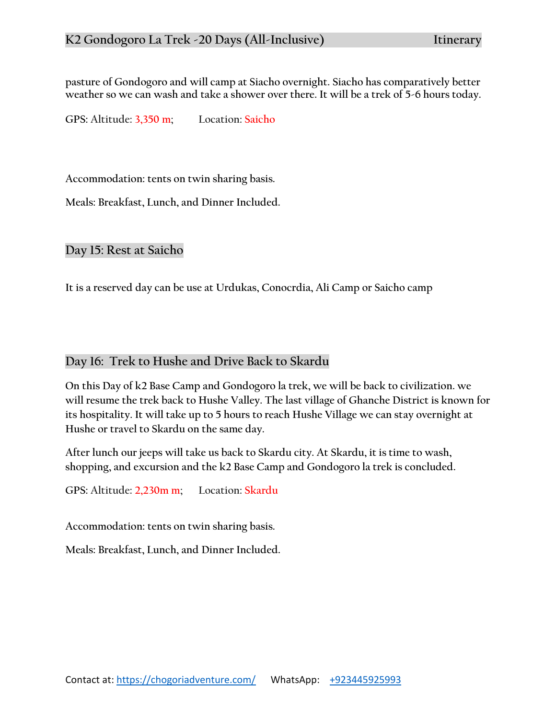**pasture of Gondogoro and will camp at Siacho overnight. Siacho has comparatively better weather so we can wash and take a shower over there. It will be a trek of 5-6 hours today.**

**GPS: Altitude: 3,350 m; Location: Saicho**

**Accommodation: tents on twin sharing basis.**

**Meals: Breakfast, Lunch, and Dinner Included.**

**Day 15: Rest at Saicho**

**It is a reserved day can be use at Urdukas, Conocrdia, Ali Camp or Saicho camp** 

# **Day 16: Trek to Hushe and Drive Back to Skardu**

**On this Day of k2 Base Camp and Gondogoro la trek, we will be back to civilization. we will resume the trek back to Hushe Valley. The last village of Ghanche District is known for its hospitality. It will take up to 5 hours to reach Hushe Village we can stay overnight at Hushe or travel to Skardu on the same day.** 

**After lunch our jeeps will take us back to Skardu city. At Skardu, it is time to wash, shopping, and excursion and the k2 Base Camp and Gondogoro la trek is concluded.**

**GPS: Altitude: 2,230m m; Location: Skardu** 

**Accommodation: tents on twin sharing basis.**

**Meals: Breakfast, Lunch, and Dinner Included.**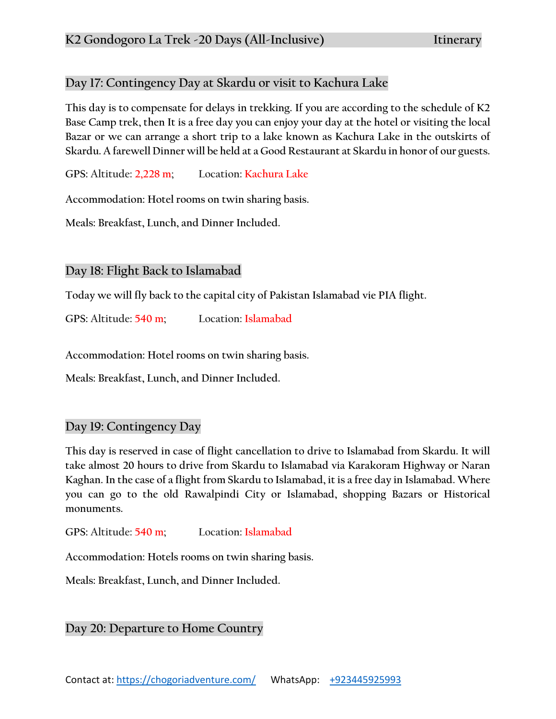# **Day 17: Contingency Day at Skardu or visit to Kachura Lake**

**This day is to compensate for delays in trekking. If you are according to the schedule of K2 Base Camp trek, then It is a free day you can enjoy your day at the hotel or visiting the local Bazar or we can arrange a short trip to a lake known as Kachura Lake in the outskirts of Skardu. A farewell Dinner will be held at a Good Restaurant at Skardu in honor of our guests.**

**GPS: Altitude: 2,228 m; Location: Kachura Lake**

**Accommodation: Hotel rooms on twin sharing basis.**

**Meals: Breakfast, Lunch, and Dinner Included.**

# **Day 18: Flight Back to Islamabad**

**Today we will fly back to the capital city of Pakistan Islamabad vie PIA flight.**

**GPS: Altitude: 540 m; Location: Islamabad**

**Accommodation: Hotel rooms on twin sharing basis.**

**Meals: Breakfast, Lunch, and Dinner Included.**

## **Day 19: Contingency Day**

**This day is reserved in case of flight cancellation to drive to Islamabad from Skardu. It will take almost 20 hours to drive from Skardu to Islamabad via Karakoram Highway or Naran Kaghan. In the case of a flight from Skardu to Islamabad, it is a free day in Islamabad. Where you can go to the old Rawalpindi City or Islamabad, shopping Bazars or Historical monuments.**

**GPS: Altitude: 540 m; Location: Islamabad**

**Accommodation: Hotels rooms on twin sharing basis.**

**Meals: Breakfast, Lunch, and Dinner Included.**

# **Day 20: Departure to Home Country**